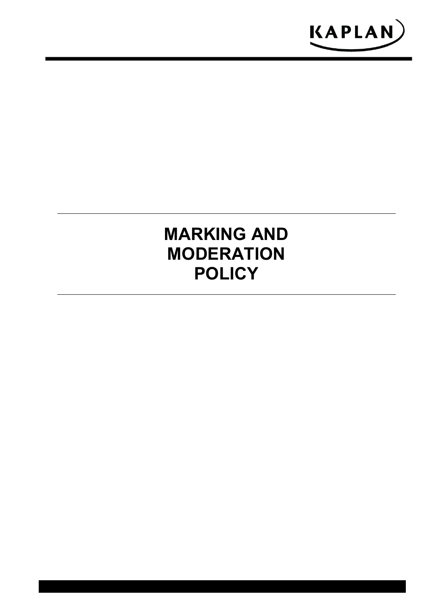

# **MARKING AND MODERATION POLICY**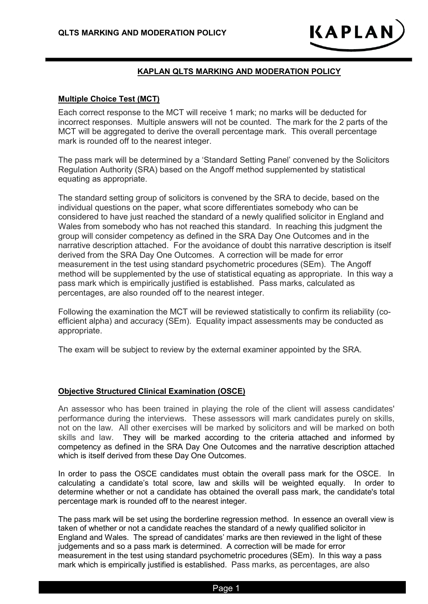

# **KAPLAN QLTS MARKING AND MODERATION POLICY**

#### **Multiple Choice Test (MCT)**

Each correct response to the MCT will receive 1 mark; no marks will be deducted for incorrect responses. Multiple answers will not be counted. The mark for the 2 parts of the MCT will be aggregated to derive the overall percentage mark. This overall percentage mark is rounded off to the nearest integer.

The pass mark will be determined by a 'Standard Setting Panel' convened by the Solicitors Regulation Authority (SRA) based on the Angoff method supplemented by statistical equating as appropriate.

The standard setting group of solicitors is convened by the SRA to decide, based on the individual questions on the paper, what score differentiates somebody who can be considered to have just reached the standard of a newly qualified solicitor in England and Wales from somebody who has not reached this standard. In reaching this judgment the group will consider competency as defined in the SRA Day One Outcomes and in the narrative description attached. For the avoidance of doubt this narrative description is itself derived from the SRA Day One Outcomes. A correction will be made for error measurement in the test using standard psychometric procedures (SEm). The Angoff method will be supplemented by the use of statistical equating as appropriate. In this way a pass mark which is empirically justified is established. Pass marks, calculated as percentages, are also rounded off to the nearest integer.

Following the examination the MCT will be reviewed statistically to confirm its reliability (coefficient alpha) and accuracy (SEm). Equality impact assessments may be conducted as appropriate.

The exam will be subject to review by the external examiner appointed by the SRA.

#### **Objective Structured Clinical Examination (OSCE)**

An assessor who has been trained in playing the role of the client will assess candidates' performance during the interviews. These assessors will mark candidates purely on skills, not on the law. All other exercises will be marked by solicitors and will be marked on both skills and law. They will be marked according to the criteria attached and informed by competency as defined in the SRA Day One Outcomes and the narrative description attached which is itself derived from these Day One Outcomes.

In order to pass the OSCE candidates must obtain the overall pass mark for the OSCE. In calculating a candidate's total score, law and skills will be weighted equally. In order to determine whether or not a candidate has obtained the overall pass mark, the candidate's total percentage mark is rounded off to the nearest integer.

The pass mark will be set using the borderline regression method. In essence an overall view is taken of whether or not a candidate reaches the standard of a newly qualified solicitor in England and Wales. The spread of candidates' marks are then reviewed in the light of these judgements and so a pass mark is determined. A correction will be made for error measurement in the test using standard psychometric procedures (SEm). In this way a pass mark which is empirically justified is established. Pass marks, as percentages, are also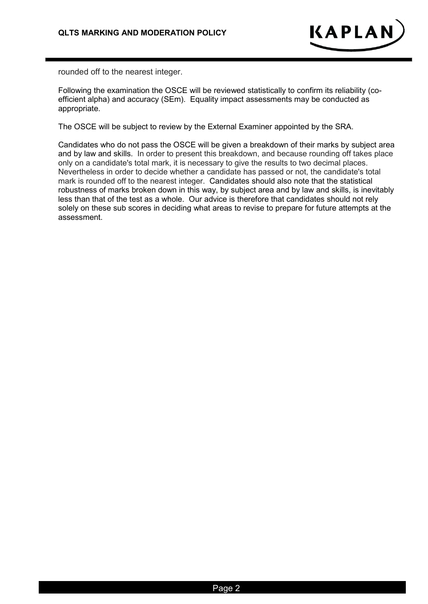

rounded off to the nearest integer.

Following the examination the OSCE will be reviewed statistically to confirm its reliability (coefficient alpha) and accuracy (SEm). Equality impact assessments may be conducted as appropriate.

The OSCE will be subject to review by the External Examiner appointed by the SRA.

Candidates who do not pass the OSCE will be given a breakdown of their marks by subject area and by law and skills. In order to present this breakdown, and because rounding off takes place only on a candidate's total mark, it is necessary to give the results to two decimal places. Nevertheless in order to decide whether a candidate has passed or not, the candidate's total mark is rounded off to the nearest integer. Candidates should also note that the statistical robustness of marks broken down in this way, by subject area and by law and skills, is inevitably less than that of the test as a whole. Our advice is therefore that candidates should not rely solely on these sub scores in deciding what areas to revise to prepare for future attempts at the assessment.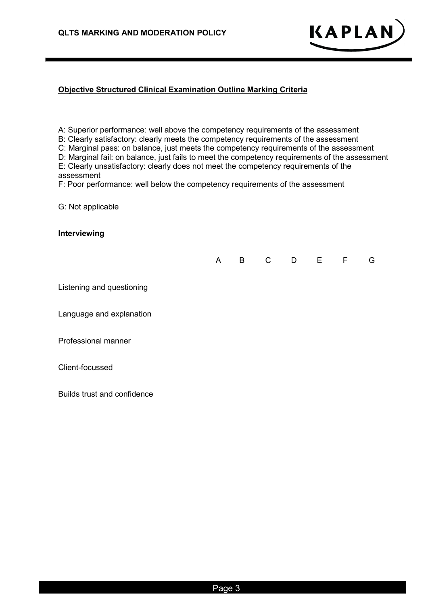

#### **Objective Structured Clinical Examination Outline Marking Criteria**

A: Superior performance: well above the competency requirements of the assessment B: Clearly satisfactory: clearly meets the competency requirements of the assessment C: Marginal pass: on balance, just meets the competency requirements of the assessment D: Marginal fail: on balance, just fails to meet the competency requirements of the assessment E: Clearly unsatisfactory: clearly does not meet the competency requirements of the assessment

F: Poor performance: well below the competency requirements of the assessment

G: Not applicable

#### **Interviewing**

|                           | $\mathsf{A}$ | $\mathsf{B}$ | C D E F |  | G |
|---------------------------|--------------|--------------|---------|--|---|
| Listening and questioning |              |              |         |  |   |
| Language and explanation  |              |              |         |  |   |
| Professional manner       |              |              |         |  |   |
| Client-focussed           |              |              |         |  |   |
|                           |              |              |         |  |   |

Builds trust and confidence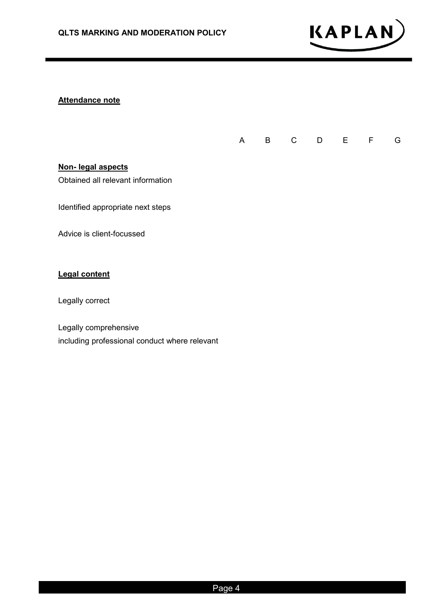

# **Attendance note**

|                                                         | $\mathsf{A}$ | B C | D <sub>E</sub> | $\mathsf{F}$ | G |
|---------------------------------------------------------|--------------|-----|----------------|--------------|---|
| Non- legal aspects<br>Obtained all relevant information |              |     |                |              |   |
| Identified appropriate next steps                       |              |     |                |              |   |
| Advice is client-focussed                               |              |     |                |              |   |
| <b>Legal content</b>                                    |              |     |                |              |   |
| Legally correct                                         |              |     |                |              |   |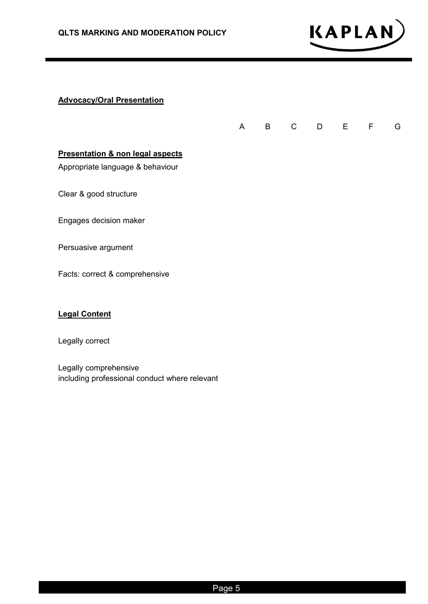

# **Advocacy/Oral Presentation**

|                                             | A |  | B C D E F | G |
|---------------------------------------------|---|--|-----------|---|
| <b>Presentation &amp; non legal aspects</b> |   |  |           |   |
| Appropriate language & behaviour            |   |  |           |   |
| Clear & good structure                      |   |  |           |   |
| Engages decision maker                      |   |  |           |   |
| Persuasive argument                         |   |  |           |   |
| Facts: correct & comprehensive              |   |  |           |   |
| <b>Legal Content</b>                        |   |  |           |   |

# Legally correct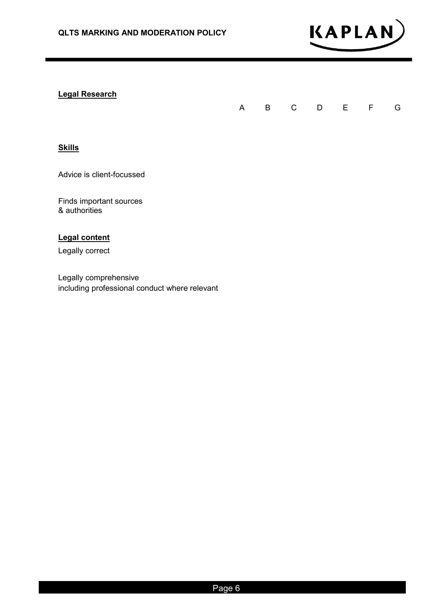

# **Legal Research**

|                                          | A | B | С | D | Е | F | G |
|------------------------------------------|---|---|---|---|---|---|---|
|                                          |   |   |   |   |   |   |   |
| <b>Skills</b>                            |   |   |   |   |   |   |   |
| Advice is client-focussed                |   |   |   |   |   |   |   |
| Finds important sources<br>& authorities |   |   |   |   |   |   |   |
| <b>Legal content</b>                     |   |   |   |   |   |   |   |
| Legally correct                          |   |   |   |   |   |   |   |
| Legally comprehensive                    |   |   |   |   |   |   |   |

including professional conduct where relevant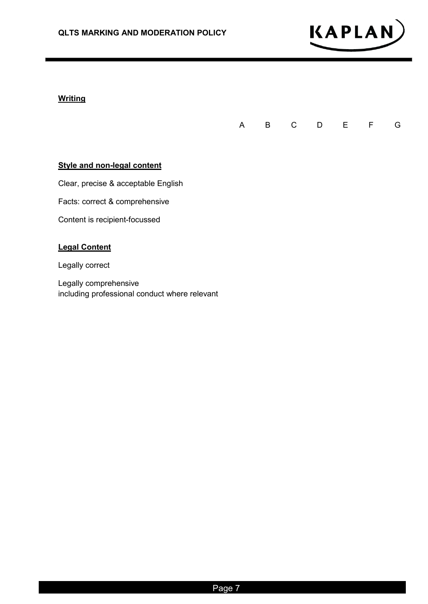

## **Writing**

|  | A B C D E F G |  |  |
|--|---------------|--|--|
|  |               |  |  |

#### **Style and non-legal content**

Clear, precise & acceptable English

Facts: correct & comprehensive

Content is recipient-focussed

# **Legal Content**

Legally correct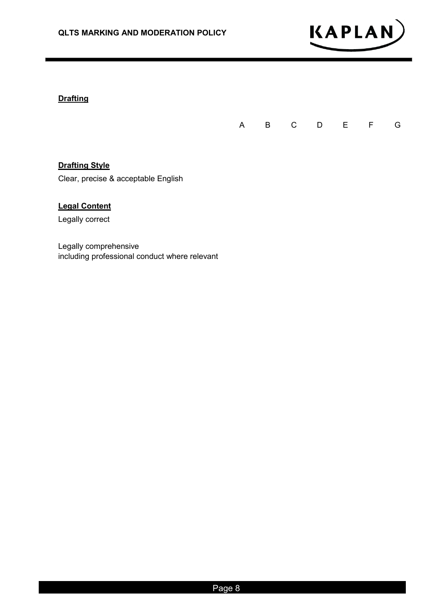

# **Drafting**

|                                     | A | B | C | - D | E | - F | G |
|-------------------------------------|---|---|---|-----|---|-----|---|
|                                     |   |   |   |     |   |     |   |
| <b>Drafting Style</b>               |   |   |   |     |   |     |   |
| Clear, precise & acceptable English |   |   |   |     |   |     |   |
|                                     |   |   |   |     |   |     |   |

# **Legal Content**

Legally correct